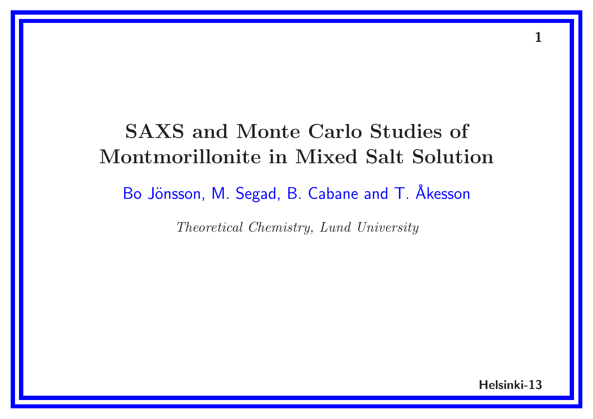## SAXS and Monte Carlo Studies of Montmorillonite in Mixed Salt Solution

Bo Jönsson, M. Segad, B. Cabane and T. Åkesson

Theoretical Chemistry, Lund University

Helsinki-13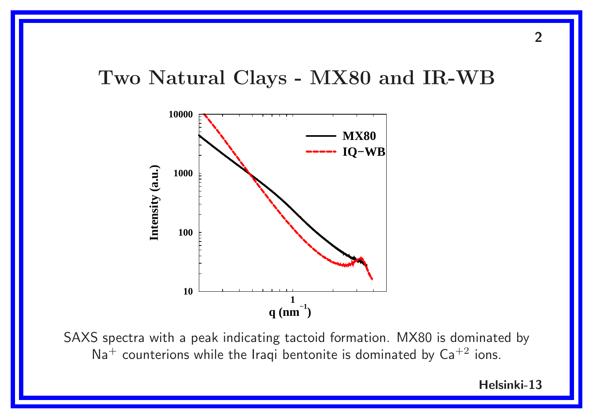#### Two Natural Clays - MX80 and IR-WB



SAXS spectra with a peak indicating tactoid formation. MX80 is dominated by  $Na<sup>+</sup>$  counterions while the Iraqi bentonite is dominated by  $Ca<sup>+2</sup>$  ions.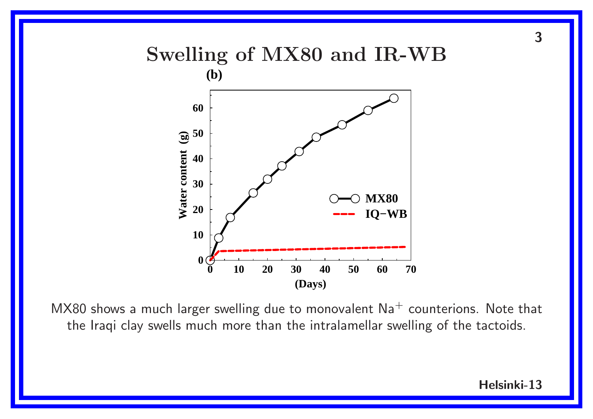#### Swelling of MX80 and IR-WB **(b)**



MX80 shows a much larger swelling due to monovalent  $Na<sup>+</sup>$  counterions. Note that the Iraqi clay swells much more than the intralamellar swelling of the tactoids.

Helsinki-13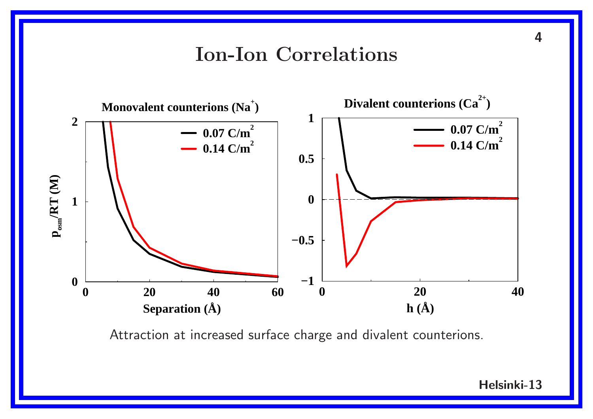#### Ion-Ion Correlations



Helsinki-13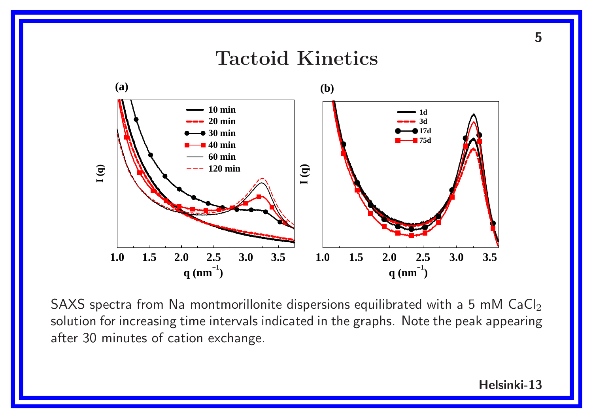

SAXS spectra from Na montmorillonite dispersions equilibrated with a 5 mM  $CaCl<sub>2</sub>$ solution for increasing time intervals indicated in the graphs. Note the peak appearing after 30 minutes of cation exchange.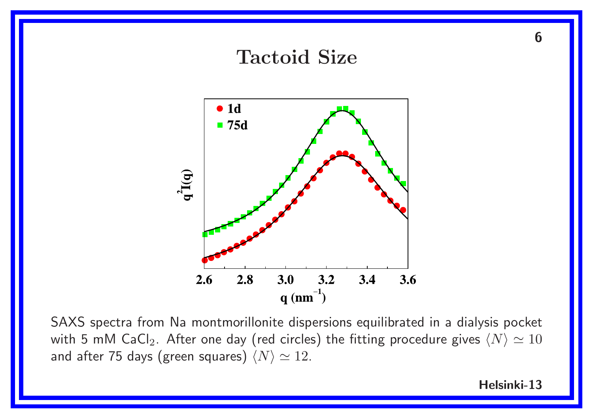

SAXS spectra from Na montmorillonite dispersions equilibrated in <sup>a</sup> dialysis pocket with 5 mM CaCl<sub>2</sub>. After one day (red circles) the fitting procedure gives  $\langle N \rangle \simeq 10$ and after 75 days (green squares)  $\langle N \rangle \simeq 12$ .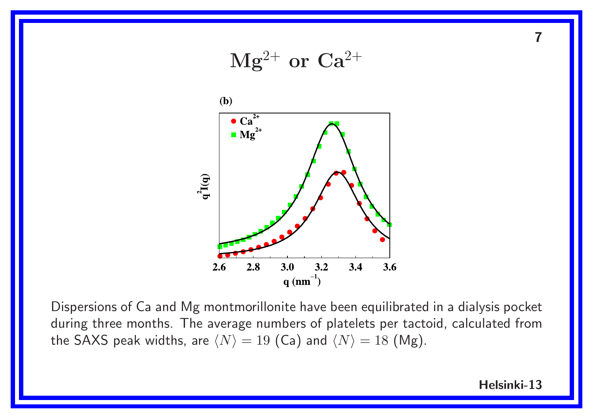

Dispersions of Ca and Mg montmorillonite have been equilibrated in <sup>a</sup> dialysis pocket during three months. The average numbers of platelets per tactoid, calculated from the SAXS peak widths, are  $\langle N \rangle = 19$  (Ca) and  $\langle N \rangle = 18$  (Mg).

Helsinki-13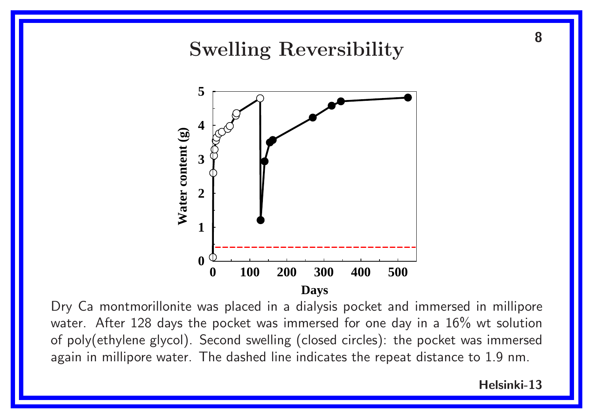# <sup>8</sup> Swelling Reversibility **5 4 Water content (g)** Water content (g) **3 2 1 0 0 100 200 300 400 500 Days**

Dry Ca montmorillonite was placed in <sup>a</sup> dialysis pocket and immersed in millipore water. After 128 days the pocket was immersed for one day in a 16% wt solution of poly(ethylene glycol). Second swelling (closed circles): the pocket was immersed again in millipore water. The dashed line indicates the repeat distance to 1.9 nm.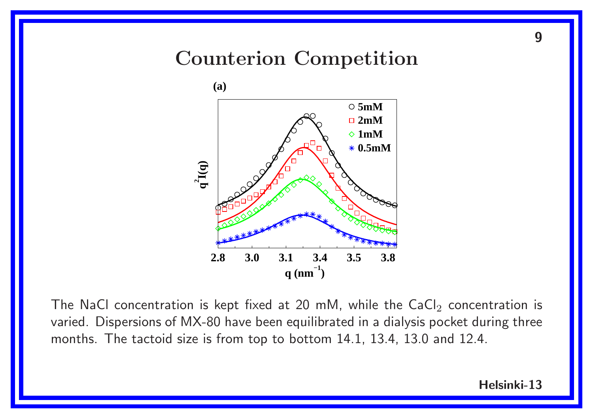## Counterion Competition



The NaCl concentration is kept fixed at 20 mM, while the  $CaCl<sub>2</sub>$  concentration is varied. Dispersions of MX-80 have been equilibrated in <sup>a</sup> dialysis pocket during three months. The tactoid size is from top to bottom 14.1, 13.4, 13.0 and 12.4.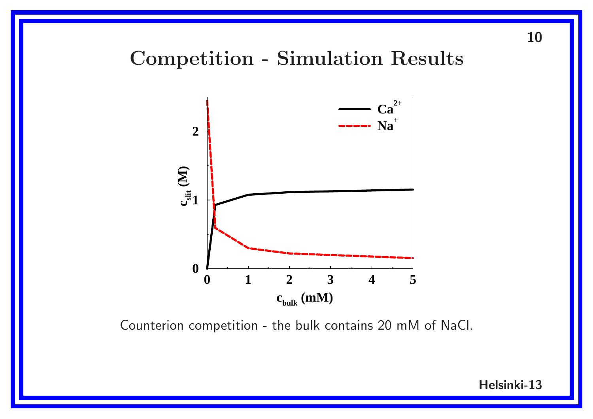## Competition - Simulation Results



Counterion competition - the bulk contains 20 mM of NaCl.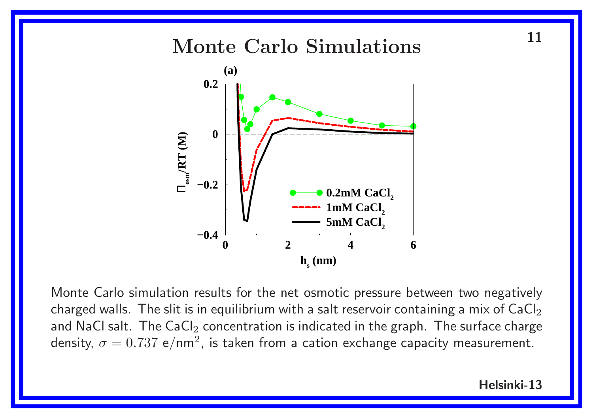Monte Carlo Simulations<sup>11</sup>



Monte Carlo simulation results for the net osmotic pressure between two negatively charged walls. The slit is in equilibrium with a salt reservoir containing a mix of  $CaCl<sub>2</sub>$ and NaCl salt. The  $CaCl<sub>2</sub>$  concentration is indicated in the graph. The surface charge density,  $\sigma = 0.737 \text{ e/nm}^2$ , is taken from a cation exchange capacity measurement.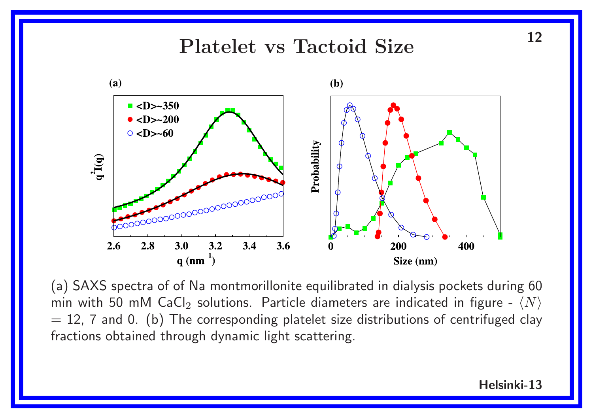# Platelet vs Tactoid Size 12



(a) SAXS spectra of of Na montmorillonite equilibrated in dialysis pockets during <sup>60</sup> min with 50 mM CaCl<sub>2</sub> solutions. Particle diameters are indicated in figure -  $\langle N \rangle$  $= 12$ , 7 and 0. (b) The corresponding platelet size distributions of centrifuged clay fractions obtained through dynamic light scattering.